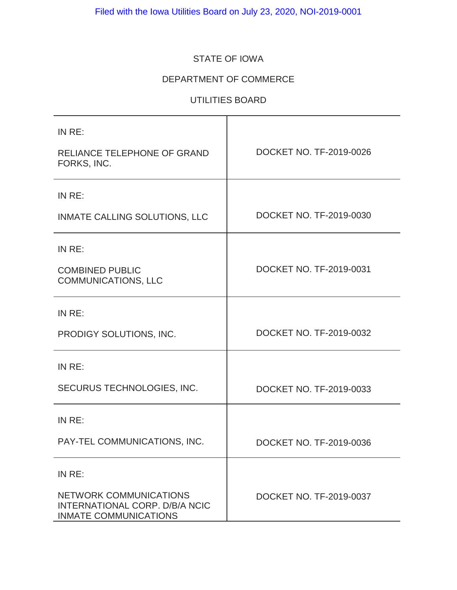# STATE OF IOWA

# DEPARTMENT OF COMMERCE

# UTILITIES BOARD

| IN RE:<br><b>RELIANCE TELEPHONE OF GRAND</b><br>FORKS, INC.                                            | DOCKET NO. TF-2019-0026 |
|--------------------------------------------------------------------------------------------------------|-------------------------|
| IN RE:                                                                                                 |                         |
| INMATE CALLING SOLUTIONS, LLC                                                                          | DOCKET NO. TF-2019-0030 |
| IN RE:                                                                                                 |                         |
| <b>COMBINED PUBLIC</b><br><b>COMMUNICATIONS, LLC</b>                                                   | DOCKET NO. TF-2019-0031 |
| IN RE:                                                                                                 |                         |
| PRODIGY SOLUTIONS, INC.                                                                                | DOCKET NO. TF-2019-0032 |
| IN RE:                                                                                                 |                         |
| SECURUS TECHNOLOGIES, INC.                                                                             | DOCKET NO. TF-2019-0033 |
| IN RE:                                                                                                 |                         |
| PAY-TEL COMMUNICATIONS, INC.                                                                           | DOCKET NO. TF-2019-0036 |
| IN RE:                                                                                                 |                         |
| <b>NETWORK COMMUNICATIONS</b><br><b>INTERNATIONAL CORP. D/B/A NCIC</b><br><b>INMATE COMMUNICATIONS</b> | DOCKET NO. TF-2019-0037 |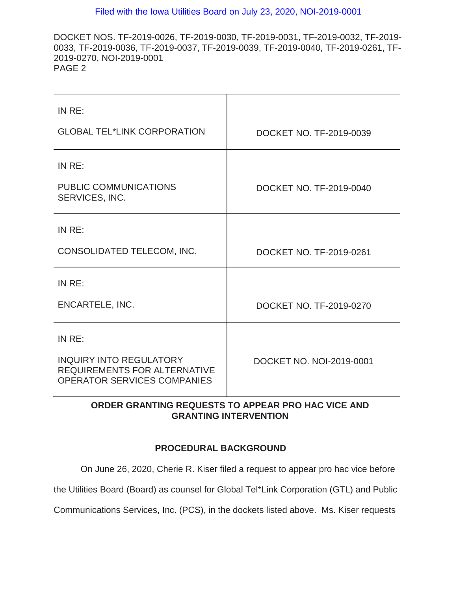DOCKET NOS. TF-2019-0026, TF-2019-0030, TF-2019-0031, TF-2019-0032, TF-2019- 0033, TF-2019-0036, TF-2019-0037, TF-2019-0039, TF-2019-0040, TF-2019-0261, TF-2019-0270, NOI-2019-0001 PAGE 2

| IN RE:                                                                                               |                          |
|------------------------------------------------------------------------------------------------------|--------------------------|
| <b>GLOBAL TEL*LINK CORPORATION</b>                                                                   | DOCKET NO. TF-2019-0039  |
| IN RE:                                                                                               |                          |
| <b>PUBLIC COMMUNICATIONS</b><br>SERVICES, INC.                                                       | DOCKET NO. TF-2019-0040  |
| IN RE:                                                                                               |                          |
| CONSOLIDATED TELECOM, INC.                                                                           | DOCKET NO. TF-2019-0261  |
| IN RE:                                                                                               |                          |
| <b>ENCARTELE, INC.</b>                                                                               | DOCKET NO. TF-2019-0270  |
| IN RE:                                                                                               |                          |
| <b>INQUIRY INTO REGULATORY</b><br>REQUIREMENTS FOR ALTERNATIVE<br><b>OPERATOR SERVICES COMPANIES</b> | DOCKET NO. NOI-2019-0001 |

# **ORDER GRANTING REQUESTS TO APPEAR PRO HAC VICE AND GRANTING INTERVENTION**

# **PROCEDURAL BACKGROUND**

On June 26, 2020, Cherie R. Kiser filed a request to appear pro hac vice before

the Utilities Board (Board) as counsel for Global Tel\*Link Corporation (GTL) and Public

Communications Services, Inc. (PCS), in the dockets listed above. Ms. Kiser requests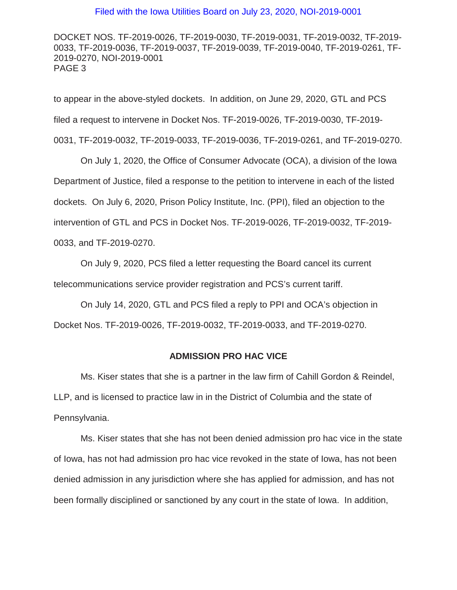DOCKET NOS. TF-2019-0026, TF-2019-0030, TF-2019-0031, TF-2019-0032, TF-2019- 0033, TF-2019-0036, TF-2019-0037, TF-2019-0039, TF-2019-0040, TF-2019-0261, TF-2019-0270, NOI-2019-0001 PAGE 3

to appear in the above-styled dockets. In addition, on June 29, 2020, GTL and PCS filed a request to intervene in Docket Nos. TF-2019-0026, TF-2019-0030, TF-2019- 0031, TF-2019-0032, TF-2019-0033, TF-2019-0036, TF-2019-0261, and TF-2019-0270.

On July 1, 2020, the Office of Consumer Advocate (OCA), a division of the Iowa Department of Justice, filed a response to the petition to intervene in each of the listed dockets. On July 6, 2020, Prison Policy Institute, Inc. (PPI), filed an objection to the intervention of GTL and PCS in Docket Nos. TF-2019-0026, TF-2019-0032, TF-2019- 0033, and TF-2019-0270.

On July 9, 2020, PCS filed a letter requesting the Board cancel its current telecommunications service provider registration and PCS's current tariff.

On July 14, 2020, GTL and PCS filed a reply to PPI and OCA's objection in Docket Nos. TF-2019-0026, TF-2019-0032, TF-2019-0033, and TF-2019-0270.

# **ADMISSION PRO HAC VICE**

Ms. Kiser states that she is a partner in the law firm of Cahill Gordon & Reindel, LLP, and is licensed to practice law in in the District of Columbia and the state of Pennsylvania.

Ms. Kiser states that she has not been denied admission pro hac vice in the state of Iowa, has not had admission pro hac vice revoked in the state of Iowa, has not been denied admission in any jurisdiction where she has applied for admission, and has not been formally disciplined or sanctioned by any court in the state of Iowa. In addition,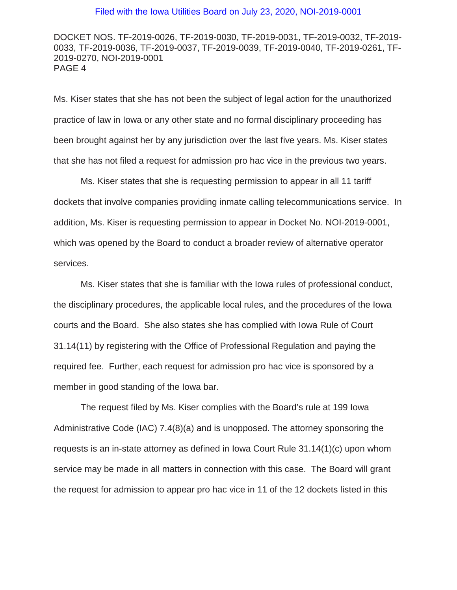DOCKET NOS. TF-2019-0026, TF-2019-0030, TF-2019-0031, TF-2019-0032, TF-2019- 0033, TF-2019-0036, TF-2019-0037, TF-2019-0039, TF-2019-0040, TF-2019-0261, TF-2019-0270, NOI-2019-0001 PAGE 4

Ms. Kiser states that she has not been the subject of legal action for the unauthorized practice of law in Iowa or any other state and no formal disciplinary proceeding has been brought against her by any jurisdiction over the last five years. Ms. Kiser states that she has not filed a request for admission pro hac vice in the previous two years.

Ms. Kiser states that she is requesting permission to appear in all 11 tariff dockets that involve companies providing inmate calling telecommunications service. In addition, Ms. Kiser is requesting permission to appear in Docket No. NOI-2019-0001, which was opened by the Board to conduct a broader review of alternative operator services.

Ms. Kiser states that she is familiar with the Iowa rules of professional conduct, the disciplinary procedures, the applicable local rules, and the procedures of the Iowa courts and the Board. She also states she has complied with Iowa Rule of Court 31.14(11) by registering with the Office of Professional Regulation and paying the required fee. Further, each request for admission pro hac vice is sponsored by a member in good standing of the Iowa bar.

The request filed by Ms. Kiser complies with the Board's rule at 199 Iowa Administrative Code (IAC) 7.4(8)(a) and is unopposed. The attorney sponsoring the requests is an in-state attorney as defined in Iowa Court Rule 31.14(1)(c) upon whom service may be made in all matters in connection with this case. The Board will grant the request for admission to appear pro hac vice in 11 of the 12 dockets listed in this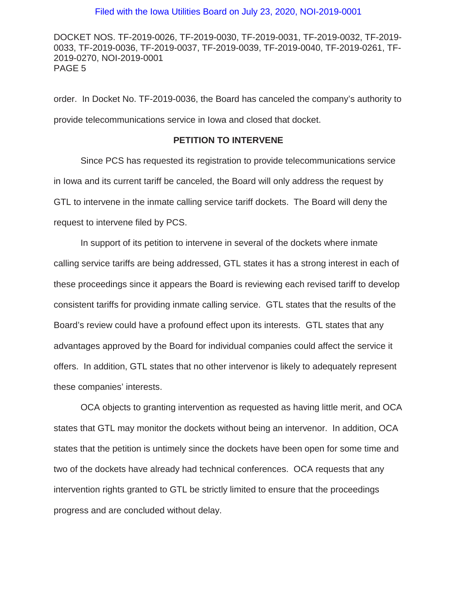DOCKET NOS. TF-2019-0026, TF-2019-0030, TF-2019-0031, TF-2019-0032, TF-2019- 0033, TF-2019-0036, TF-2019-0037, TF-2019-0039, TF-2019-0040, TF-2019-0261, TF-2019-0270, NOI-2019-0001 PAGE 5

order. In Docket No. TF-2019-0036, the Board has canceled the company's authority to provide telecommunications service in Iowa and closed that docket.

#### **PETITION TO INTERVENE**

Since PCS has requested its registration to provide telecommunications service in Iowa and its current tariff be canceled, the Board will only address the request by GTL to intervene in the inmate calling service tariff dockets. The Board will deny the request to intervene filed by PCS.

In support of its petition to intervene in several of the dockets where inmate calling service tariffs are being addressed, GTL states it has a strong interest in each of these proceedings since it appears the Board is reviewing each revised tariff to develop consistent tariffs for providing inmate calling service. GTL states that the results of the Board's review could have a profound effect upon its interests. GTL states that any advantages approved by the Board for individual companies could affect the service it offers. In addition, GTL states that no other intervenor is likely to adequately represent these companies' interests.

OCA objects to granting intervention as requested as having little merit, and OCA states that GTL may monitor the dockets without being an intervenor. In addition, OCA states that the petition is untimely since the dockets have been open for some time and two of the dockets have already had technical conferences. OCA requests that any intervention rights granted to GTL be strictly limited to ensure that the proceedings progress and are concluded without delay.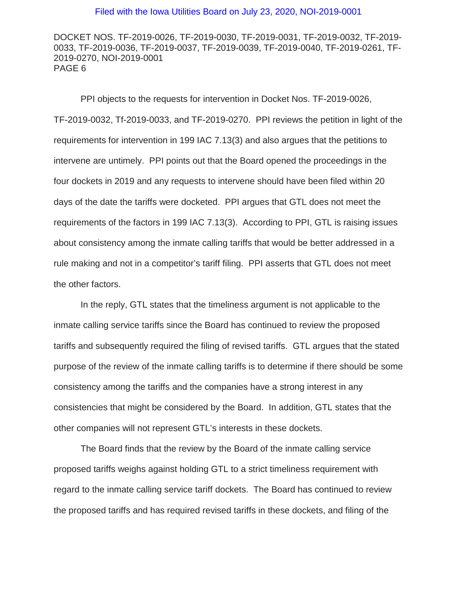DOCKET NOS. TF-2019-0026, TF-2019-0030, TF-2019-0031, TF-2019-0032, TF-2019- 0033, TF-2019-0036, TF-2019-0037, TF-2019-0039, TF-2019-0040, TF-2019-0261, TF-2019-0270, NOI-2019-0001 PAGE 6

PPI objects to the requests for intervention in Docket Nos. TF-2019-0026, TF-2019-0032, Tf-2019-0033, and TF-2019-0270. PPI reviews the petition in light of the requirements for intervention in 199 IAC 7.13(3) and also argues that the petitions to intervene are untimely. PPI points out that the Board opened the proceedings in the four dockets in 2019 and any requests to intervene should have been filed within 20 days of the date the tariffs were docketed. PPI argues that GTL does not meet the requirements of the factors in 199 IAC 7.13(3). According to PPI, GTL is raising issues about consistency among the inmate calling tariffs that would be better addressed in a rule making and not in a competitor's tariff filing. PPI asserts that GTL does not meet the other factors.

In the reply, GTL states that the timeliness argument is not applicable to the inmate calling service tariffs since the Board has continued to review the proposed tariffs and subsequently required the filing of revised tariffs. GTL argues that the stated purpose of the review of the inmate calling tariffs is to determine if there should be some consistency among the tariffs and the companies have a strong interest in any consistencies that might be considered by the Board. In addition, GTL states that the other companies will not represent GTL's interests in these dockets.

The Board finds that the review by the Board of the inmate calling service proposed tariffs weighs against holding GTL to a strict timeliness requirement with regard to the inmate calling service tariff dockets. The Board has continued to review the proposed tariffs and has required revised tariffs in these dockets, and filing of the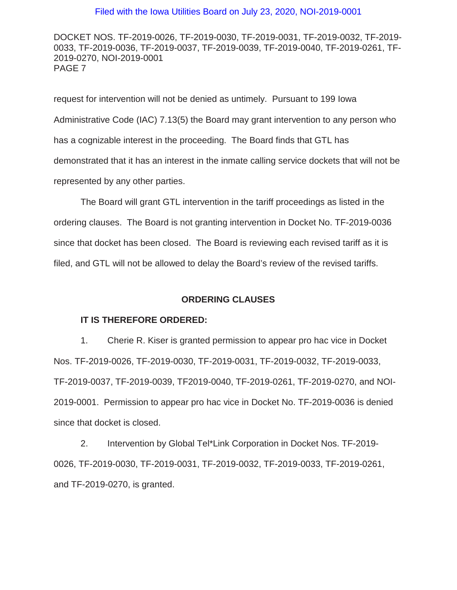DOCKET NOS. TF-2019-0026, TF-2019-0030, TF-2019-0031, TF-2019-0032, TF-2019- 0033, TF-2019-0036, TF-2019-0037, TF-2019-0039, TF-2019-0040, TF-2019-0261, TF-2019-0270, NOI-2019-0001 PAGE 7

request for intervention will not be denied as untimely. Pursuant to 199 Iowa Administrative Code (IAC) 7.13(5) the Board may grant intervention to any person who has a cognizable interest in the proceeding. The Board finds that GTL has demonstrated that it has an interest in the inmate calling service dockets that will not be represented by any other parties.

The Board will grant GTL intervention in the tariff proceedings as listed in the ordering clauses. The Board is not granting intervention in Docket No. TF-2019-0036 since that docket has been closed. The Board is reviewing each revised tariff as it is filed, and GTL will not be allowed to delay the Board's review of the revised tariffs.

## **ORDERING CLAUSES**

#### **IT IS THEREFORE ORDERED:**

1. Cherie R. Kiser is granted permission to appear pro hac vice in Docket Nos. TF-2019-0026, TF-2019-0030, TF-2019-0031, TF-2019-0032, TF-2019-0033, TF-2019-0037, TF-2019-0039, TF2019-0040, TF-2019-0261, TF-2019-0270, and NOI-2019-0001. Permission to appear pro hac vice in Docket No. TF-2019-0036 is denied since that docket is closed.

2. Intervention by Global Tel\*Link Corporation in Docket Nos. TF-2019- 0026, TF-2019-0030, TF-2019-0031, TF-2019-0032, TF-2019-0033, TF-2019-0261, and TF-2019-0270, is granted.